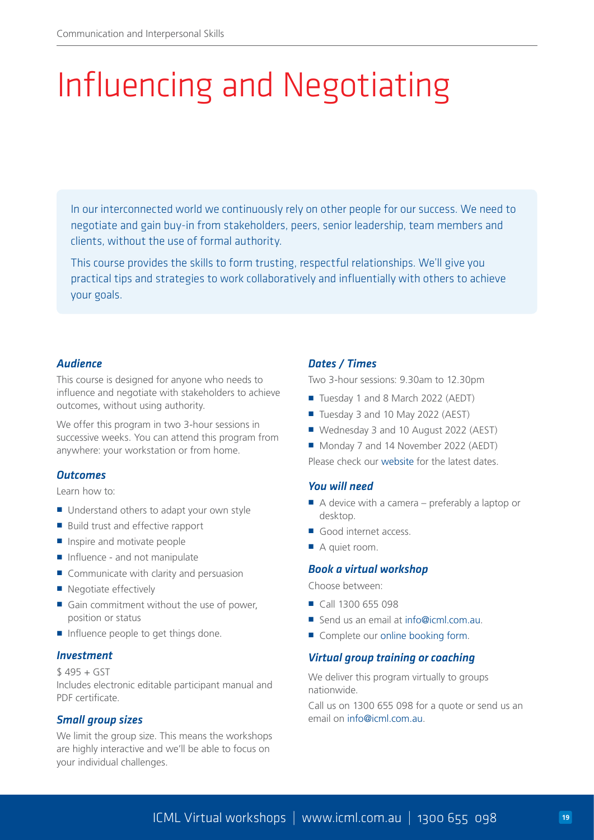# Influencing and Negotiating

In our interconnected world we continuously rely on other people for our success. We need to negotiate and gain buy-in from stakeholders, peers, senior leadership, team members and clients, without the use of formal authority.

This course provides the skills to form trusting, respectful relationships. We'll give you practical tips and strategies to work collaboratively and influentially with others to achieve your goals.

## *Audience*

This course is designed for anyone who needs to influence and negotiate with stakeholders to achieve outcomes, without using authority.

We offer this program in two 3-hour sessions in successive weeks. You can attend this program from anywhere: your workstation or from home.

### *Outcomes*

Learn how to:

- Understand others to adapt your own style
- Build trust and effective rapport
- Inspire and motivate people
- Influence and not manipulate
- Communicate with clarity and persuasion
- Negotiate effectively
- Gain commitment without the use of power. position or status
- Influence people to get things done.

#### *Investment*

 $$495 + GST$ Includes electronic editable participant manual and PDF certificate.

### *Small group sizes*

We limit the group size. This means the workshops are highly interactive and we'll be able to focus on your individual challenges.

### *Dates / Times*

Two 3-hour sessions: 9.30am to 12.30pm

- Tuesday 1 and 8 March 2022 (AEDT)
- Tuesday 3 and 10 May 2022 (AEST)
- Wednesday 3 and 10 August 2022 (AEST)
- Monday 7 and 14 November 2022 (AEDT)

Please check our [website](https://www.icml.com.au/influencing-skills-course/) for the latest dates.

### *You will need*

- $\blacksquare$  A device with a camera preferably a laptop or desktop.
- Good internet access.
- A quiet room.

#### *Book a virtual workshop*

Choose between:

- Call 1300 655 098
- Send us an email at [info@icml.com.au.](mailto:info%40icml.com.au?subject=)
- Complete our [online booking form](https://www.icml.com.au/contact/book-course/).

### *Virtual group training or coaching*

We deliver this program virtually to groups nationwide.

Call us on 1300 655 098 for a quote or send us an email on [info@icml.com.au.](mailto:info%40icml.com.au?subject=)